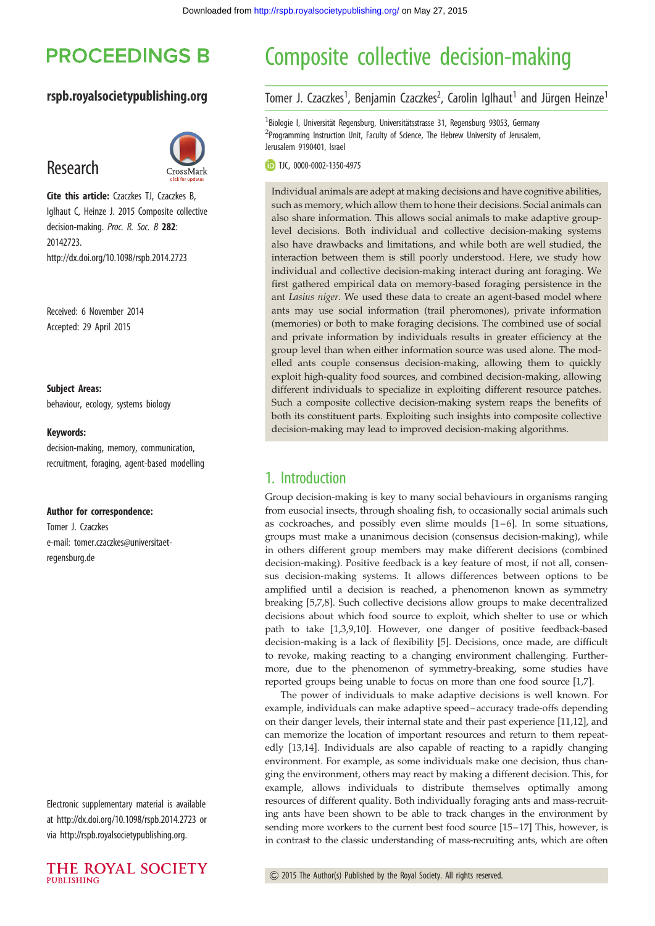# **PROCEEDINGS B**

#### rspb.royalsocietypublishing.org

## Research



Cite this article: Czaczkes TJ, Czaczkes B, Iglhaut C, Heinze J. 2015 Composite collective decision-making. Proc. R. Soc. B 282: 20142723. http://dx.doi.org/10.1098/rspb.2014.2723

Received: 6 November 2014 Accepted: 29 April 2015

#### Subject Areas:

behaviour, ecology, systems biology

#### Keywords:

decision-making, memory, communication, recruitment, foraging, agent-based modelling

#### Author for correspondence:

Tomer J. Czaczkes e-mail: [tomer.czaczkes@universitaet](mailto:tomer.czaczkes@universitaet-<?A3B2 show [sr]?>regensburg.�de)[regensburg.de](mailto:tomer.czaczkes@universitaet-<?A3B2 show [sr]?>regensburg.�de)

Electronic supplementary material is available at<http://dx.doi.org/10.1098/rspb.2014.2723> or via<http://rspb.royalsocietypublishing.org>.



# Composite collective decision-making

#### Tomer J. Czaczkes<sup>1</sup>, Benjamin Czaczkes<sup>2</sup>, Carolin Iglhaut<sup>1</sup> and Jürgen Heinze<sup>1</sup>

<sup>1</sup> Biologie I, Universität Regensburg, Universitätsstrasse 31, Regensburg 93053, Germany <sup>2</sup>Programming Instruction Unit, Faculty of Science, The Hebrew University of Jerusalem, Jerusalem 9190401, Israel

TJC, [0000-0002-1350-4975](http://orcid.org/0000-0002-1350-4975)

Individual animals are adept at making decisions and have cognitive abilities, such as memory, which allow them to hone their decisions. Social animals can also share information. This allows social animals to make adaptive grouplevel decisions. Both individual and collective decision-making systems also have drawbacks and limitations, and while both are well studied, the interaction between them is still poorly understood. Here, we study how individual and collective decision-making interact during ant foraging. We first gathered empirical data on memory-based foraging persistence in the ant Lasius niger. We used these data to create an agent-based model where ants may use social information (trail pheromones), private information (memories) or both to make foraging decisions. The combined use of social and private information by individuals results in greater efficiency at the group level than when either information source was used alone. The modelled ants couple consensus decision-making, allowing them to quickly exploit high-quality food sources, and combined decision-making, allowing different individuals to specialize in exploiting different resource patches. Such a composite collective decision-making system reaps the benefits of both its constituent parts. Exploiting such insights into composite collective decision-making may lead to improved decision-making algorithms.

### 1. Introduction

Group decision-making is key to many social behaviours in organisms ranging from eusocial insects, through shoaling fish, to occasionally social animals such as cockroaches, and possibly even slime moulds  $[1-6]$  $[1-6]$  $[1-6]$ . In some situations, groups must make a unanimous decision (consensus decision-making), while in others different group members may make different decisions (combined decision-making). Positive feedback is a key feature of most, if not all, consensus decision-making systems. It allows differences between options to be amplified until a decision is reached, a phenomenon known as symmetry breaking [[5,7,8\]](#page-6-0). Such collective decisions allow groups to make decentralized decisions about which food source to exploit, which shelter to use or which path to take [\[1,3,9](#page-6-0),[10\]](#page-6-0). However, one danger of positive feedback-based decision-making is a lack of flexibility [[5](#page-6-0)]. Decisions, once made, are difficult to revoke, making reacting to a changing environment challenging. Furthermore, due to the phenomenon of symmetry-breaking, some studies have reported groups being unable to focus on more than one food source [[1](#page-6-0),[7](#page-6-0)].

The power of individuals to make adaptive decisions is well known. For example, individuals can make adaptive speed –accuracy trade-offs depending on their danger levels, their internal state and their past experience [[11,12\]](#page-6-0), and can memorize the location of important resources and return to them repeatedly [\[13](#page-6-0),[14\]](#page-6-0). Individuals are also capable of reacting to a rapidly changing environment. For example, as some individuals make one decision, thus changing the environment, others may react by making a different decision. This, for example, allows individuals to distribute themselves optimally among resources of different quality. Both individually foraging ants and mass-recruiting ants have been shown to be able to track changes in the environment by sending more workers to the current best food source [\[15](#page-6-0)–[17\]](#page-6-0) This, however, is in contrast to the classic understanding of mass-recruiting ants, which are often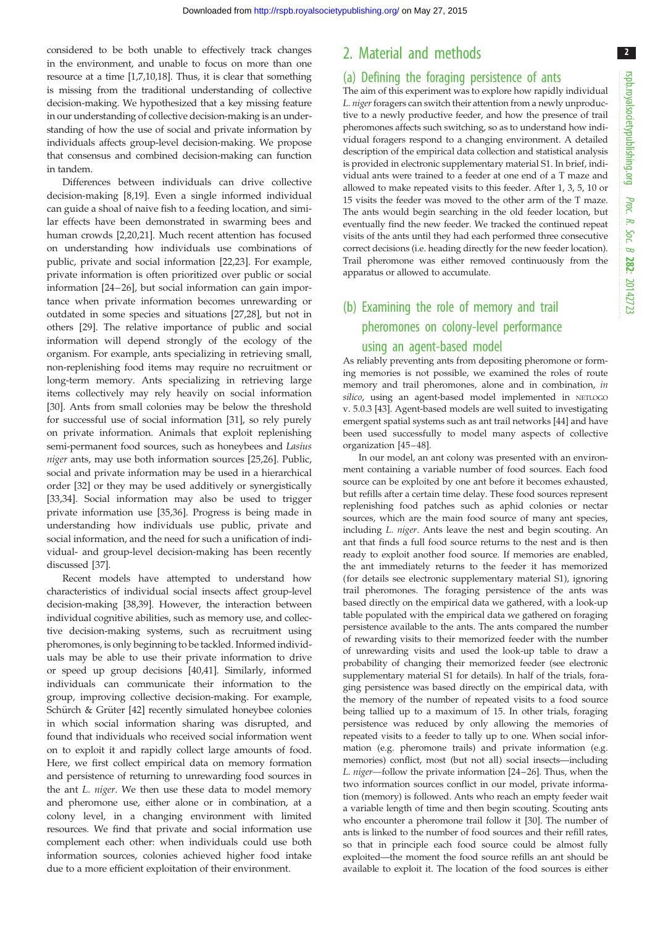considered to be both unable to effectively track changes in the environment, and unable to focus on more than one resource at a time [\[1,7,10,18](#page-6-0)]. Thus, it is clear that something is missing from the traditional understanding of collective decision-making. We hypothesized that a key missing feature in our understanding of collective decision-making is an understanding of how the use of social and private information by individuals affects group-level decision-making. We propose that consensus and combined decision-making can function in tandem.

Differences between individuals can drive collective decision-making [\[8,19\]](#page-6-0). Even a single informed individual can guide a shoal of naive fish to a feeding location, and similar effects have been demonstrated in swarming bees and human crowds [[2](#page-6-0),[20,21\]](#page-6-0). Much recent attention has focused on understanding how individuals use combinations of public, private and social information [\[22](#page-6-0),[23\]](#page-6-0). For example, private information is often prioritized over public or social information [\[24](#page-6-0)–26], but social information can gain importance when private information becomes unrewarding or outdated in some species and situations [[27,28](#page-6-0)], but not in others [[29\]](#page-6-0). The relative importance of public and social information will depend strongly of the ecology of the organism. For example, ants specializing in retrieving small, non-replenishing food items may require no recruitment or long-term memory. Ants specializing in retrieving large items collectively may rely heavily on social information [\[30](#page-7-0)]. Ants from small colonies may be below the threshold for successful use of social information [[31\]](#page-7-0), so rely purely on private information. Animals that exploit replenishing semi-permanent food sources, such as honeybees and Lasius niger ants, may use both information sources [\[25,26](#page-6-0)]. Public, social and private information may be used in a hierarchical order [\[32](#page-7-0)] or they may be used additively or synergistically [\[33](#page-7-0),[34\]](#page-7-0). Social information may also be used to trigger private information use [[35,36\]](#page-7-0). Progress is being made in understanding how individuals use public, private and social information, and the need for such a unification of individual- and group-level decision-making has been recently discussed [[37\]](#page-7-0).

Recent models have attempted to understand how characteristics of individual social insects affect group-level decision-making [[38,39\]](#page-7-0). However, the interaction between individual cognitive abilities, such as memory use, and collective decision-making systems, such as recruitment using pheromones, is only beginning to be tackled. Informed individuals may be able to use their private information to drive or speed up group decisions [\[40,41](#page-7-0)]. Similarly, informed individuals can communicate their information to the group, improving collective decision-making. For example, Schürch & Grüter [[42\]](#page-7-0) recently simulated honeybee colonies in which social information sharing was disrupted, and found that individuals who received social information went on to exploit it and rapidly collect large amounts of food. Here, we first collect empirical data on memory formation and persistence of returning to unrewarding food sources in the ant L. niger. We then use these data to model memory and pheromone use, either alone or in combination, at a colony level, in a changing environment with limited resources. We find that private and social information use complement each other: when individuals could use both information sources, colonies achieved higher food intake due to a more efficient exploitation of their environment.

#### 2. Material and methods

#### (a) Defining the foraging persistence of ants

The aim of this experiment was to explore how rapidly individual L. niger foragers can switch their attention from a newly unproductive to a newly productive feeder, and how the presence of trail pheromones affects such switching, so as to understand how individual foragers respond to a changing environment. A detailed description of the empirical data collection and statistical analysis is provided in electronic supplementary material S1. In brief, individual ants were trained to a feeder at one end of a T maze and allowed to make repeated visits to this feeder. After 1, 3, 5, 10 or 15 visits the feeder was moved to the other arm of the T maze. The ants would begin searching in the old feeder location, but eventually find the new feeder. We tracked the continued repeat visits of the ants until they had each performed three consecutive correct decisions (i.e. heading directly for the new feeder location). Trail pheromone was either removed continuously from the apparatus or allowed to accumulate.

## (b) Examining the role of memory and trail pheromones on colony-level performance using an agent-based model

As reliably preventing ants from depositing pheromone or forming memories is not possible, we examined the roles of route memory and trail pheromones, alone and in combination, in silico, using an agent-based model implemented in NETLOGO v. 5.0.3 [\[43\]](#page-7-0). Agent-based models are well suited to investigating emergent spatial systems such as ant trail networks [[44](#page-7-0)] and have been used successfully to model many aspects of collective organization [\[45](#page-7-0) – [48](#page-7-0)].

In our model, an ant colony was presented with an environment containing a variable number of food sources. Each food source can be exploited by one ant before it becomes exhausted, but refills after a certain time delay. These food sources represent replenishing food patches such as aphid colonies or nectar sources, which are the main food source of many ant species, including L. niger. Ants leave the nest and begin scouting. An ant that finds a full food source returns to the nest and is then ready to exploit another food source. If memories are enabled, the ant immediately returns to the feeder it has memorized (for details see electronic supplementary material S1), ignoring trail pheromones. The foraging persistence of the ants was based directly on the empirical data we gathered, with a look-up table populated with the empirical data we gathered on foraging persistence available to the ants. The ants compared the number of rewarding visits to their memorized feeder with the number of unrewarding visits and used the look-up table to draw a probability of changing their memorized feeder (see electronic supplementary material S1 for details). In half of the trials, foraging persistence was based directly on the empirical data, with the memory of the number of repeated visits to a food source being tallied up to a maximum of 15. In other trials, foraging persistence was reduced by only allowing the memories of repeated visits to a feeder to tally up to one. When social information (e.g. pheromone trails) and private information (e.g. memories) conflict, most (but not all) social insects—including L. niger—follow the private information [[24](#page-6-0)–[26](#page-6-0)]. Thus, when the two information sources conflict in our model, private information (memory) is followed. Ants who reach an empty feeder wait a variable length of time and then begin scouting. Scouting ants who encounter a pheromone trail follow it [[30](#page-7-0)]. The number of ants is linked to the number of food sources and their refill rates, so that in principle each food source could be almost fully exploited—the moment the food source refills an ant should be available to exploit it. The location of the food sources is either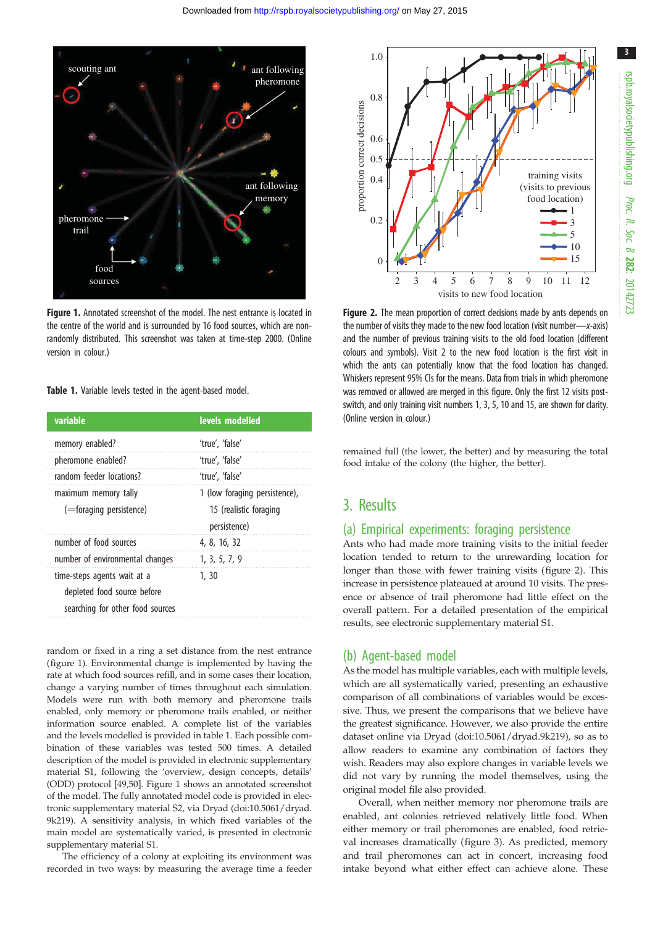

Figure 1. Annotated screenshot of the model. The nest entrance is located in the centre of the world and is surrounded by 16 food sources, which are nonrandomly distributed. This screenshot was taken at time-step 2000. (Online version in colour.)

Table 1. Variable levels tested in the agent-based model.

| variable                         | levels modelled               |
|----------------------------------|-------------------------------|
| memory enabled?                  | 'true', 'false'               |
| pheromone enabled?               | 'true', 'false'               |
| random feeder locations?         | 'true', 'false'               |
| maximum memory tally             | 1 (low foraging persistence), |
| (=foraging persistence)          | 15 (realistic foraging        |
|                                  | persistence)                  |
| number of food sources           | 4, 8, 16, 32                  |
| number of environmental changes  | 1, 3, 5, 7, 9                 |
| time-steps agents wait at a      | 1, 30                         |
| depleted food source before      |                               |
| searching for other food sources |                               |

random or fixed in a ring a set distance from the nest entrance (figure 1). Environmental change is implemented by having the rate at which food sources refill, and in some cases their location, change a varying number of times throughout each simulation. Models were run with both memory and pheromone trails enabled, only memory or pheromone trails enabled, or neither information source enabled. A complete list of the variables and the levels modelled is provided in table 1. Each possible combination of these variables was tested 500 times. A detailed description of the model is provided in electronic supplementary material S1, following the 'overview, design concepts, details' (ODD) protocol [[49,50](#page-7-0)]. Figure 1 shows an annotated screenshot of the model. The fully annotated model code is provided in electronic supplementary material S2, via Dryad ([doi:10.5061/dryad.](http://dx.doi.org/10.5061/dryad.9k219) [9k219](http://dx.doi.org/10.5061/dryad.9k219)). A sensitivity analysis, in which fixed variables of the main model are systematically varied, is presented in electronic supplementary material S1.

The efficiency of a colony at exploiting its environment was recorded in two ways: by measuring the average time a feeder



rspb.royalsocietypublishing.org Proc. R. Soc. $\sigma$ 282: 20142723

3

**Figure 2.** The mean proportion of correct decisions made by ants depends on the number of visits they made to the new food location (visit number—x-axis) and the number of previous training visits to the old food location (different colours and symbols). Visit 2 to the new food location is the first visit in which the ants can potentially know that the food location has changed. Whiskers represent 95% CIs for the means. Data from trials in which pheromone was removed or allowed are merged in this figure. Only the first 12 visits postswitch, and only training visit numbers 1, 3, 5, 10 and 15, are shown for clarity. (Online version in colour.)

remained full (the lower, the better) and by measuring the total food intake of the colony (the higher, the better).

### 3. Results

#### (a) Empirical experiments: foraging persistence

Ants who had made more training visits to the initial feeder location tended to return to the unrewarding location for longer than those with fewer training visits (figure 2). This increase in persistence plateaued at around 10 visits. The presence or absence of trail pheromone had little effect on the overall pattern. For a detailed presentation of the empirical results, see electronic supplementary material S1.

#### (b) Agent-based model

As the model has multiple variables, each with multiple levels, which are all systematically varied, presenting an exhaustive comparison of all combinations of variables would be excessive. Thus, we present the comparisons that we believe have the greatest significance. However, we also provide the entire dataset online via Dryad [\(doi:10.5061/dryad.9k219\)](http://dx.doi.org/10.5061/dryad.9k219), so as to allow readers to examine any combination of factors they wish. Readers may also explore changes in variable levels we did not vary by running the model themselves, using the original model file also provided.

Overall, when neither memory nor pheromone trails are enabled, ant colonies retrieved relatively little food. When either memory or trail pheromones are enabled, food retrieval increases dramatically ([figure 3\)](#page-3-0). As predicted, memory and trail pheromones can act in concert, increasing food intake beyond what either effect can achieve alone. These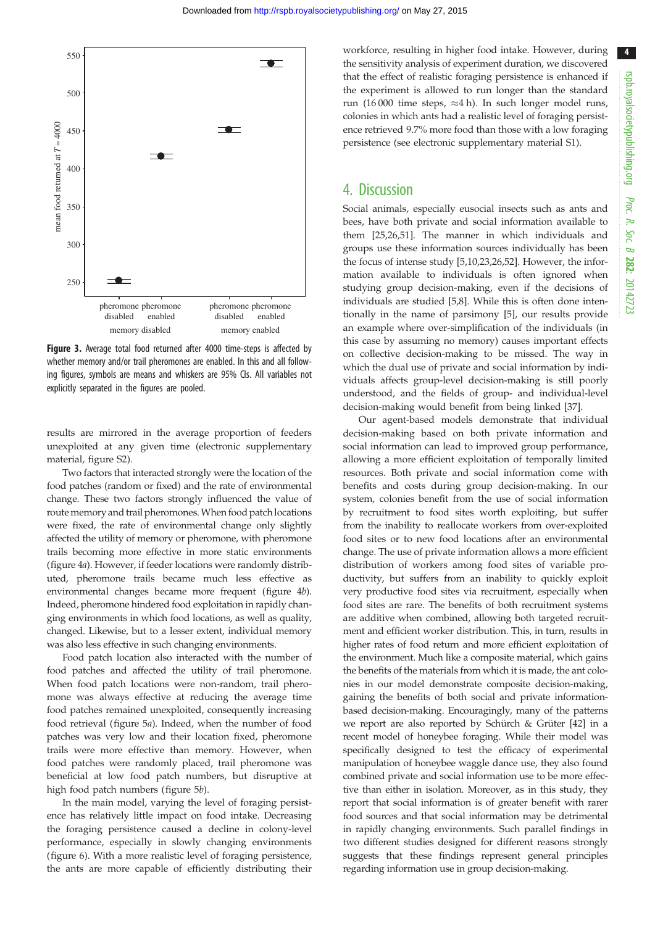4

<span id="page-3-0"></span>

Figure 3. Average total food returned after 4000 time-steps is affected by whether memory and/or trail pheromones are enabled. In this and all following figures, symbols are means and whiskers are 95% CIs. All variables not explicitly separated in the figures are pooled.

results are mirrored in the average proportion of feeders unexploited at any given time (electronic supplementary material, figure S2).

Two factors that interacted strongly were the location of the food patches (random or fixed) and the rate of environmental change. These two factors strongly influenced the value of route memory and trail pheromones.When food patch locations were fixed, the rate of environmental change only slightly affected the utility of memory or pheromone, with pheromone trails becoming more effective in more static environments [\(figure 4](#page-4-0)a). However, if feeder locations were randomly distributed, pheromone trails became much less effective as environmental changes became more frequent [\(figure 4](#page-4-0)b). Indeed, pheromone hindered food exploitation in rapidly changing environments in which food locations, as well as quality, changed. Likewise, but to a lesser extent, individual memory was also less effective in such changing environments.

Food patch location also interacted with the number of food patches and affected the utility of trail pheromone. When food patch locations were non-random, trail pheromone was always effective at reducing the average time food patches remained unexploited, consequently increasing food retrieval ([figure 5](#page-4-0)a). Indeed, when the number of food patches was very low and their location fixed, pheromone trails were more effective than memory. However, when food patches were randomly placed, trail pheromone was beneficial at low food patch numbers, but disruptive at high food patch numbers ([figure 5](#page-4-0)b).

In the main model, varying the level of foraging persistence has relatively little impact on food intake. Decreasing the foraging persistence caused a decline in colony-level performance, especially in slowly changing environments [\(figure 6\)](#page-5-0). With a more realistic level of foraging persistence, the ants are more capable of efficiently distributing their

workforce, resulting in higher food intake. However, during the sensitivity analysis of experiment duration, we discovered that the effect of realistic foraging persistence is enhanced if the experiment is allowed to run longer than the standard run (16 000 time steps,  $\approx$ 4 h). In such longer model runs, colonies in which ants had a realistic level of foraging persistence retrieved 9.7% more food than those with a low foraging persistence (see electronic supplementary material S1).

## 4. Discussion

Social animals, especially eusocial insects such as ants and bees, have both private and social information available to them [\[25,26](#page-6-0),[51\]](#page-7-0). The manner in which individuals and groups use these information sources individually has been the focus of intense study [\[5,10,23,26](#page-6-0),[52\]](#page-7-0). However, the information available to individuals is often ignored when studying group decision-making, even if the decisions of individuals are studied [[5,8\]](#page-6-0). While this is often done intentionally in the name of parsimony [[5](#page-6-0)], our results provide an example where over-simplification of the individuals (in this case by assuming no memory) causes important effects on collective decision-making to be missed. The way in which the dual use of private and social information by individuals affects group-level decision-making is still poorly understood, and the fields of group- and individual-level decision-making would benefit from being linked [[37\]](#page-7-0).

Our agent-based models demonstrate that individual decision-making based on both private information and social information can lead to improved group performance, allowing a more efficient exploitation of temporally limited resources. Both private and social information come with benefits and costs during group decision-making. In our system, colonies benefit from the use of social information by recruitment to food sites worth exploiting, but suffer from the inability to reallocate workers from over-exploited food sites or to new food locations after an environmental change. The use of private information allows a more efficient distribution of workers among food sites of variable productivity, but suffers from an inability to quickly exploit very productive food sites via recruitment, especially when food sites are rare. The benefits of both recruitment systems are additive when combined, allowing both targeted recruitment and efficient worker distribution. This, in turn, results in higher rates of food return and more efficient exploitation of the environment. Much like a composite material, which gains the benefits of the materials from which it is made, the ant colonies in our model demonstrate composite decision-making, gaining the benefits of both social and private informationbased decision-making. Encouragingly, many of the patterns we report are also reported by Schürch & Grüter [[42\]](#page-7-0) in a recent model of honeybee foraging. While their model was specifically designed to test the efficacy of experimental manipulation of honeybee waggle dance use, they also found combined private and social information use to be more effective than either in isolation. Moreover, as in this study, they report that social information is of greater benefit with rarer food sources and that social information may be detrimental in rapidly changing environments. Such parallel findings in two different studies designed for different reasons strongly suggests that these findings represent general principles regarding information use in group decision-making.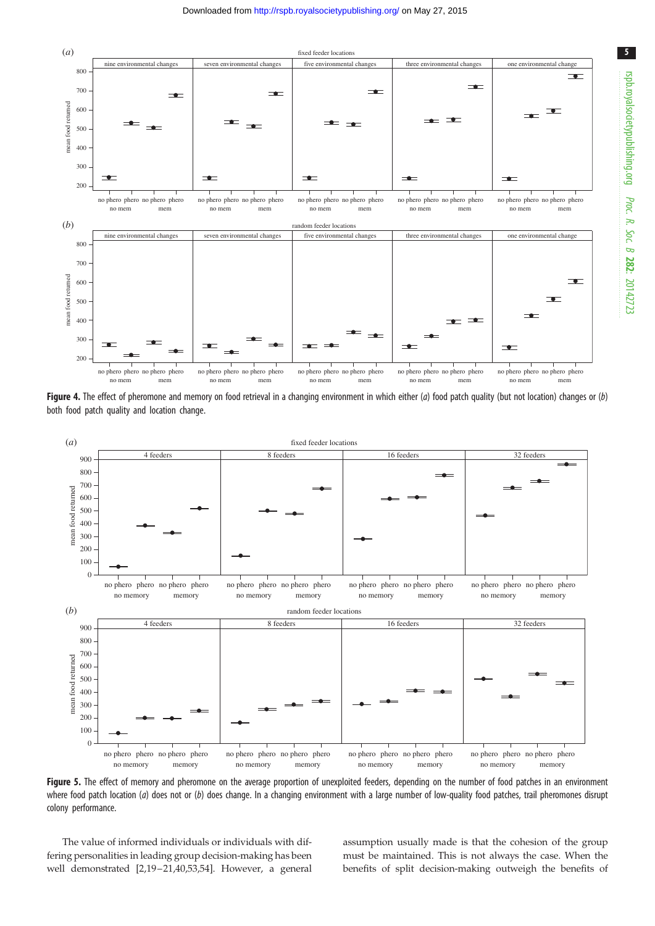<span id="page-4-0"></span>

Figure 4. The effect of pheromone and memory on food retrieval in a changing environment in which either  $(a)$  food patch quality (but not location) changes or  $(b)$ both food patch quality and location change.



Figure 5. The effect of memory and pheromone on the average proportion of unexploited feeders, depending on the number of food patches in an environment where food patch location (a) does not or (b) does change. In a changing environment with a large number of low-quality food patches, trail pheromones disrupt colony performance.

The value of informed individuals or individuals with differing personalities in leading group decision-making has been well demonstrated [[2,19](#page-6-0)–[21](#page-6-0)[,40](#page-7-0),[53](#page-7-0),[54\]](#page-7-0). However, a general assumption usually made is that the cohesion of the group must be maintained. This is not always the case. When the benefits of split decision-making outweigh the benefits of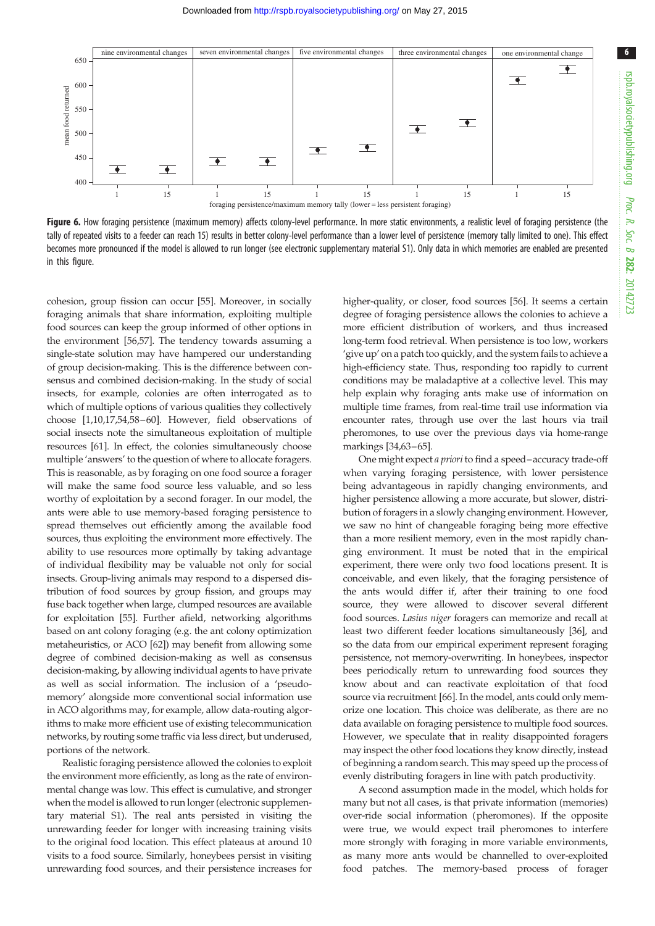<span id="page-5-0"></span>

Figure 6. How foraging persistence (maximum memory) affects colony-level performance. In more static environments, a realistic level of foraging persistence (the tally of repeated visits to a feeder can reach 15) results in better colony-level performance than a lower level of persistence (memory tally limited to one). This effect becomes more pronounced if the model is allowed to run longer (see electronic supplementary material S1). Only data in which memories are enabled are presented in this figure.

cohesion, group fission can occur [\[55](#page-7-0)]. Moreover, in socially foraging animals that share information, exploiting multiple food sources can keep the group informed of other options in the environment [\[56](#page-7-0),[57](#page-7-0)]. The tendency towards assuming a single-state solution may have hampered our understanding of group decision-making. This is the difference between consensus and combined decision-making. In the study of social insects, for example, colonies are often interrogated as to which of multiple options of various qualities they collectively choose [[1](#page-6-0),[10](#page-6-0),[17,](#page-6-0)[54,58](#page-7-0)–[60](#page-7-0)]. However, field observations of social insects note the simultaneous exploitation of multiple resources [\[61](#page-7-0)]. In effect, the colonies simultaneously choose multiple 'answers' to the question of where to allocate foragers. This is reasonable, as by foraging on one food source a forager will make the same food source less valuable, and so less worthy of exploitation by a second forager. In our model, the ants were able to use memory-based foraging persistence to spread themselves out efficiently among the available food sources, thus exploiting the environment more effectively. The ability to use resources more optimally by taking advantage of individual flexibility may be valuable not only for social insects. Group-living animals may respond to a dispersed distribution of food sources by group fission, and groups may fuse back together when large, clumped resources are available for exploitation [\[55](#page-7-0)]. Further afield, networking algorithms based on ant colony foraging (e.g. the ant colony optimization metaheuristics, or ACO [\[62\]](#page-7-0)) may benefit from allowing some degree of combined decision-making as well as consensus decision-making, by allowing individual agents to have private as well as social information. The inclusion of a 'pseudomemory' alongside more conventional social information use in ACO algorithms may, for example, allow data-routing algorithms to make more efficient use of existing telecommunication networks, by routing some traffic via less direct, but underused, portions of the network.

Realistic foraging persistence allowed the colonies to exploit the environment more efficiently, as long as the rate of environmental change was low. This effect is cumulative, and stronger when the model is allowed to run longer (electronic supplementary material S1). The real ants persisted in visiting the unrewarding feeder for longer with increasing training visits to the original food location. This effect plateaus at around 10 visits to a food source. Similarly, honeybees persist in visiting unrewarding food sources, and their persistence increases for

higher-quality, or closer, food sources [\[56](#page-7-0)]. It seems a certain degree of foraging persistence allows the colonies to achieve a more efficient distribution of workers, and thus increased long-term food retrieval. When persistence is too low, workers 'give up' on a patch too quickly, and the system fails to achieve a high-efficiency state. Thus, responding too rapidly to current conditions may be maladaptive at a collective level. This may help explain why foraging ants make use of information on multiple time frames, from real-time trail use information via encounter rates, through use over the last hours via trail pheromones, to use over the previous days via home-range markings [[34](#page-7-0),[63](#page-7-0)–[65](#page-7-0)].

One might expect a priori to find a speed–accuracy trade-off when varying foraging persistence, with lower persistence being advantageous in rapidly changing environments, and higher persistence allowing a more accurate, but slower, distribution of foragers in a slowly changing environment. However, we saw no hint of changeable foraging being more effective than a more resilient memory, even in the most rapidly changing environment. It must be noted that in the empirical experiment, there were only two food locations present. It is conceivable, and even likely, that the foraging persistence of the ants would differ if, after their training to one food source, they were allowed to discover several different food sources. Lasius niger foragers can memorize and recall at least two different feeder locations simultaneously [\[36\]](#page-7-0), and so the data from our empirical experiment represent foraging persistence, not memory-overwriting. In honeybees, inspector bees periodically return to unrewarding food sources they know about and can reactivate exploitation of that food source via recruitment [\[66\]](#page-7-0). In the model, ants could only memorize one location. This choice was deliberate, as there are no data available on foraging persistence to multiple food sources. However, we speculate that in reality disappointed foragers may inspect the other food locations they know directly, instead of beginning a random search. This may speed up the process of evenly distributing foragers in line with patch productivity.

A second assumption made in the model, which holds for many but not all cases, is that private information (memories) over-ride social information (pheromones). If the opposite were true, we would expect trail pheromones to interfere more strongly with foraging in more variable environments, as many more ants would be channelled to over-exploited food patches. The memory-based process of forager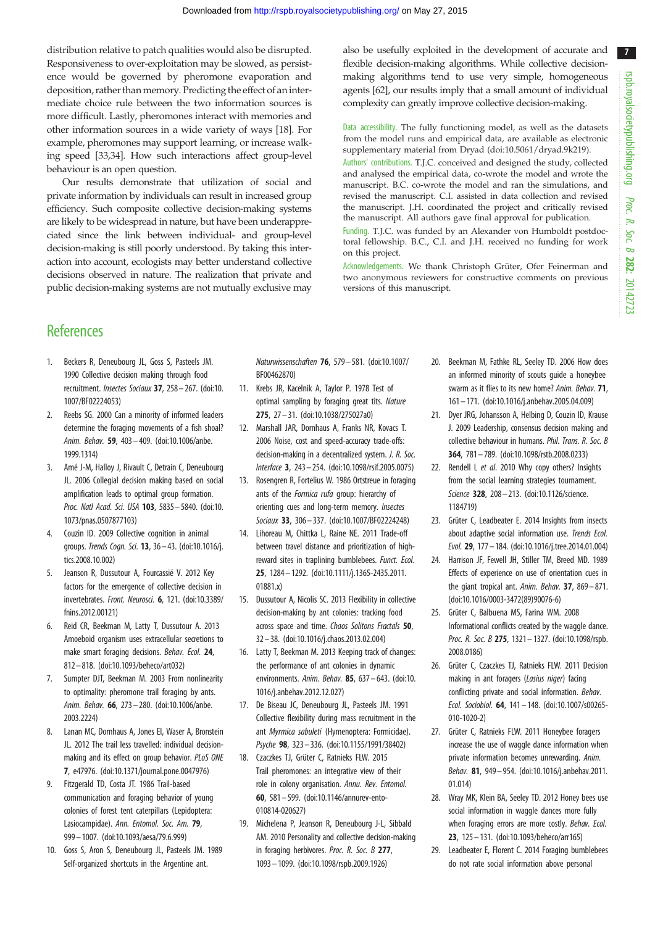7

<span id="page-6-0"></span>distribution relative to patch qualities would also be disrupted. Responsiveness to over-exploitation may be slowed, as persistence would be governed by pheromone evaporation and deposition, rather than memory. Predicting the effect of an intermediate choice rule between the two information sources is more difficult. Lastly, pheromones interact with memories and other information sources in a wide variety of ways [18]. For example, pheromones may support learning, or increase walking speed [\[33,34](#page-7-0)]. How such interactions affect group-level behaviour is an open question.

Our results demonstrate that utilization of social and private information by individuals can result in increased group efficiency. Such composite collective decision-making systems are likely to be widespread in nature, but have been underappreciated since the link between individual- and group-level decision-making is still poorly understood. By taking this interaction into account, ecologists may better understand collective decisions observed in nature. The realization that private and public decision-making systems are not mutually exclusive may also be usefully exploited in the development of accurate and flexible decision-making algorithms. While collective decisionmaking algorithms tend to use very simple, homogeneous agents [\[62\]](#page-7-0), our results imply that a small amount of individual complexity can greatly improve collective decision-making.

Data accessibility. The fully functioning model, as well as the datasets from the model runs and empirical data, are available as electronic supplementary material from Dryad ([doi:10.5061/dryad.9k219\)](http://dx.doi.org/10.5061/dryad.9k219).

Authors' contributions. T.J.C. conceived and designed the study, collected and analysed the empirical data, co-wrote the model and wrote the manuscript. B.C. co-wrote the model and ran the simulations, and revised the manuscript. C.I. assisted in data collection and revised the manuscript. J.H. coordinated the project and critically revised the manuscript. All authors gave final approval for publication.

Funding. T.J.C. was funded by an Alexander von Humboldt postdoctoral fellowship. B.C., C.I. and J.H. received no funding for work on this project.

Acknowledgements. We thank Christoph Grüter, Ofer Feinerman and two anonymous reviewers for constructive comments on previous versions of this manuscript.

## **References**

- 1. Beckers R, Deneubourg JL, Goss S, Pasteels JM. 1990 Collective decision making through food recruitment. Insectes Sociaux 37, 258– 267. ([doi:10.](http://dx.doi.org/10.1007/BF02224053) [1007/BF02224053\)](http://dx.doi.org/10.1007/BF02224053)
- 2. Reebs SG. 2000 Can a minority of informed leaders determine the foraging movements of a fish shoal? Anim. Behav. 59, 403 – 409. [\(doi:10.1006/anbe.](http://dx.doi.org/10.1006/anbe.1999.1314) [1999.1314\)](http://dx.doi.org/10.1006/anbe.1999.1314)
- 3. Amé J-M, Halloy J, Rivault C, Detrain C, Deneubourg JL. 2006 Collegial decision making based on social amplification leads to optimal group formation. Proc. Natl Acad. Sci. USA 103, 5835– 5840. ([doi:10.](http://dx.doi.org/10.1073/pnas.0507877103) [1073/pnas.0507877103](http://dx.doi.org/10.1073/pnas.0507877103))
- 4. Couzin ID. 2009 Collective cognition in animal groups. Trends Cogn. Sci. 13, 36 – 43. [\(doi:10.1016/j.](http://dx.doi.org/10.1016/j.tics.2008.10.002) [tics.2008.10.002\)](http://dx.doi.org/10.1016/j.tics.2008.10.002)
- 5. Jeanson R, Dussutour A, Fourcassié V. 2012 Key factors for the emergence of collective decision in invertebrates. Front. Neurosci. 6, 121. ([doi:10.3389/](http://dx.doi.org/10.3389/fnins.2012.00121) [fnins.2012.00121](http://dx.doi.org/10.3389/fnins.2012.00121))
- 6. Reid CR, Beekman M, Latty T, Dussutour A. 2013 Amoeboid organism uses extracellular secretions to make smart foraging decisions. Behav. Ecol. 24, 812– 818. ([doi:10.1093/beheco/art032\)](http://dx.doi.org/10.1093/beheco/art032)
- 7. Sumpter DJT, Beekman M. 2003 From nonlinearity to optimality: pheromone trail foraging by ants. Anim. Behav. 66, 273 – 280. [\(doi:10.1006/anbe.](http://dx.doi.org/10.1006/anbe.2003.2224) [2003.2224\)](http://dx.doi.org/10.1006/anbe.2003.2224)
- Lanan MC, Dornhaus A, Jones El, Waser A, Bronstein JL. 2012 The trail less travelled: individual decisionmaking and its effect on group behavior. PLoS ONE 7, e47976. ([doi:10.1371/journal.pone.0047976\)](http://dx.doi.org/10.1371/journal.pone.0047976)
- 9. Fitzgerald TD, Costa JT. 1986 Trail-based communication and foraging behavior of young colonies of forest tent caterpillars (Lepidoptera: Lasiocampidae). Ann. Entomol. Soc. Am. 79, 999– 1007. ([doi:10.1093/aesa/79.6.999\)](http://dx.doi.org/10.1093/aesa/79.6.999)
- 10. Goss S, Aron S, Deneubourg JL, Pasteels JM. 1989 Self-organized shortcuts in the Argentine ant.

Naturwissenschaften 76, 579– 581. ([doi:10.1007/](http://dx.doi.org/10.1007/BF00462870) [BF00462870\)](http://dx.doi.org/10.1007/BF00462870)

- 11. Krebs JR, Kacelnik A, Taylor P. 1978 Test of optimal sampling by foraging great tits. Nature 275, 27 – 31. ([doi:10.1038/275027a0\)](http://dx.doi.org/10.1038/275027a0)
- 12. Marshall JAR, Dornhaus A, Franks NR, Kovacs T. 2006 Noise, cost and speed-accuracy trade-offs: decision-making in a decentralized system. J. R. Soc. Interface 3, 243– 254. [\(doi:10.1098/rsif.2005.0075](http://dx.doi.org/10.1098/rsif.2005.0075))
- 13. Rosengren R, Fortelius W. 1986 Ortstreue in foraging ants of the Formica rufa group: hierarchy of orienting cues and long-term memory. Insectes Sociaux 33, 306– 337. ([doi:10.1007/BF02224248\)](http://dx.doi.org/10.1007/BF02224248)
- 14. Lihoreau M, Chittka L, Raine NE. 2011 Trade-off between travel distance and prioritization of highreward sites in traplining bumblebees. Funct. Ecol. 25, 1284 – 1292. [\(doi:10.1111/j.1365-2435.2011.](http://dx.doi.org/10.1111/j.1365-2435.2011.01881.x) [01881.x](http://dx.doi.org/10.1111/j.1365-2435.2011.01881.x))
- 15. Dussutour A, Nicolis SC. 2013 Flexibility in collective decision-making by ant colonies: tracking food across space and time. Chaos Solitons Fractals 50, 32 – 38. ([doi:10.1016/j.chaos.2013.02.004](http://dx.doi.org/10.1016/j.chaos.2013.02.004))
- 16. Latty T, Beekman M. 2013 Keeping track of changes: the performance of ant colonies in dynamic environments. Anim. Behav. 85, 637 – 643. [\(doi:10.](http://dx.doi.org/10.1016/j.anbehav.2012.12.027) [1016/j.anbehav.2012.12.027\)](http://dx.doi.org/10.1016/j.anbehav.2012.12.027)
- 17. De Biseau JC, Deneubourg JL, Pasteels JM. 1991 Collective flexibility during mass recruitment in the ant Myrmica sabuleti (Hymenoptera: Formicidae). Psyche 98, 323– 336. [\(doi:10.1155/1991/38402\)](http://dx.doi.org/10.1155/1991/38402)
- 18. Czaczkes TJ, Grüter C, Ratnieks FLW. 2015 Trail pheromones: an integrative view of their role in colony organisation. Annu. Rev. Entomol. 60, 581– 599. ([doi:10.1146/annurev-ento-](http://dx.doi.org/10.1146/annurev-ento-010814-020627)[010814-020627\)](http://dx.doi.org/10.1146/annurev-ento-010814-020627)
- 19. Michelena P, Jeanson R, Deneubourg J-L, Sibbald AM. 2010 Personality and collective decision-making in foraging herbivores. Proc. R. Soc. B 277, 1093– 1099. [\(doi:10.1098/rspb.2009.1926\)](http://dx.doi.org/10.1098/rspb.2009.1926)
- 20. Beekman M, Fathke RL, Seeley TD. 2006 How does an informed minority of scouts guide a honeybee swarm as it flies to its new home? Anim. Behav. 71, 161– 171. [\(doi:10.1016/j.anbehav.2005.04.009\)](http://dx.doi.org/10.1016/j.anbehav.2005.04.009)
- 21. Dyer JRG, Johansson A, Helbing D, Couzin ID, Krause J. 2009 Leadership, consensus decision making and collective behaviour in humans. Phil. Trans. R. Soc. B 364, 781– 789. [\(doi:10.1098/rstb.2008.0233](http://dx.doi.org/10.1098/rstb.2008.0233))
- 22. Rendell L et al. 2010 Why copy others? Insights from the social learning strategies tournament. Science 328, 208-213. [\(doi:10.1126/science.](http://dx.doi.org/10.1126/science.1184719) [1184719](http://dx.doi.org/10.1126/science.1184719))
- 23. Grüter C, Leadbeater E. 2014 Insights from insects about adaptive social information use. Trends Ecol. Evol. 29, 177– 184. ([doi:10.1016/j.tree.2014.01.004](http://dx.doi.org/10.1016/j.tree.2014.01.004))
- 24. Harrison JF, Fewell JH, Stiller TM, Breed MD. 1989 Effects of experience on use of orientation cues in the giant tropical ant. Anim. Behav. 37, 869 – 871. ([doi:10.1016/0003-3472\(89\)90076-6\)](http://dx.doi.org/10.1016/0003-3472(89)90076-6)
- 25. Grüter C, Balbuena MS, Farina WM. 2008 Informational conflicts created by the waggle dance. Proc. R. Soc. B 275, 1321-1327. ([doi:10.1098/rspb.](http://dx.doi.org/10.1098/rspb.2008.0186) [2008.0186](http://dx.doi.org/10.1098/rspb.2008.0186))
- 26. Grüter C, Czaczkes TJ, Ratnieks FLW. 2011 Decision making in ant foragers (Lasius niger) facing conflicting private and social information. Behav. Ecol. Sociobiol. 64, 141– 148. [\(doi:10.1007/s00265-](http://dx.doi.org/10.1007/s00265-010-1020-2) [010-1020-2\)](http://dx.doi.org/10.1007/s00265-010-1020-2)
- 27. Grüter C, Ratnieks FLW. 2011 Honeybee foragers increase the use of waggle dance information when private information becomes unrewarding. Anim. Behav. 81, 949– 954. [\(doi:10.1016/j.anbehav.2011.](http://dx.doi.org/10.1016/j.anbehav.2011.01.014) [01.014](http://dx.doi.org/10.1016/j.anbehav.2011.01.014))
- 28. Wray MK, Klein BA, Seeley TD. 2012 Honey bees use social information in waggle dances more fully when foraging errors are more costly. Behav. Ecol. 23, 125 – 131. [\(doi:10.1093/beheco/arr165](http://dx.doi.org/10.1093/beheco/arr165))
- 29. Leadbeater E, Florent C. 2014 Foraging bumblebees do not rate social information above personal